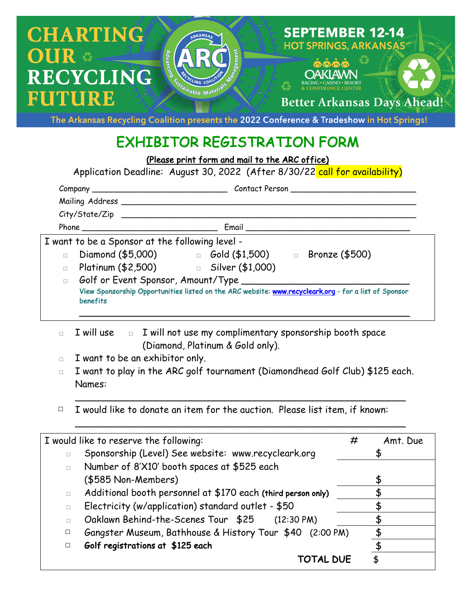

The Arkansas Recycling Coalition presents the 2022 Conference & Tradeshow in Hot Springs!

## EXHIBITOR REGISTRATION FORM

(Please print form and mail to the ARC office)

Application Deadline: August 30, 2022 (After 8/30/22 call for availability)

|        | Mailing Address _______ |                                                                                                      |
|--------|-------------------------|------------------------------------------------------------------------------------------------------|
|        |                         |                                                                                                      |
|        |                         |                                                                                                      |
|        |                         | I want to be a Sponsor at the following level -                                                      |
| $\Box$ |                         | Diamond (\$5,000) □ Gold (\$1,500) □ Bronze (\$500)                                                  |
| $\Box$ |                         | Platinum (\$2,500) contract in Silver (\$1,000)                                                      |
| $\Box$ |                         |                                                                                                      |
|        | benefits                | View Sponsorship Opportunities listed on the ARC website: www.recycleark.org - for a list of Sponsor |

- □ I will use □ I will not use my complimentary sponsorship booth space (Diamond, Platinum & Gold only).
- □ I want to be an exhibitor only.
- □ I want to play in the ARC golf tournament (Diamondhead Golf Club) \$125 each. Names:

\_\_\_\_\_\_\_\_\_\_\_\_\_\_\_\_\_\_\_\_\_\_\_\_\_\_\_\_\_\_\_\_\_\_\_\_\_\_\_\_\_\_\_\_\_\_\_\_\_\_\_\_\_\_\_\_\_

\_\_\_\_\_\_\_\_\_\_\_\_\_\_\_\_\_\_\_\_\_\_\_\_\_\_\_\_\_\_\_\_\_\_\_\_\_\_\_\_\_\_\_\_\_\_\_\_\_\_\_\_\_\_\_\_\_

□ I would like to donate an item for the auction. Please list item, if known:

| I would like to reserve the following: |                                                              |  | Amt. Due |
|----------------------------------------|--------------------------------------------------------------|--|----------|
| $\Box$                                 | Sponsorship (Level) See website: www.recycleark.org          |  |          |
| $\Box$                                 | Number of 8'X10' booth spaces at \$525 each                  |  |          |
|                                        | (\$585 Non-Members)                                          |  |          |
| $\Box$                                 | Additional booth personnel at \$170 each (third person only) |  |          |
| $\Box$                                 | Electricity (w/application) standard outlet - \$50           |  |          |
|                                        | Oaklawn Behind-the-Scenes Tour \$25<br>$(12:30 \text{ PM})$  |  |          |
| $\Box$                                 | Gangster Museum, Bathhouse & History Tour \$40 (2:00 PM)     |  |          |
| □                                      | Golf registrations at \$125 each                             |  |          |
|                                        | TOTAL DUE                                                    |  |          |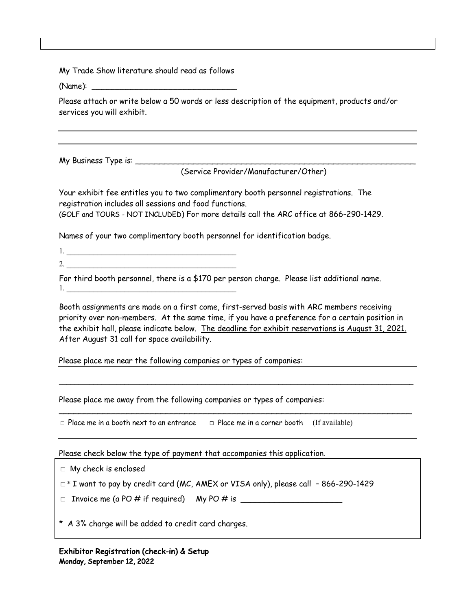My Trade Show literature should read as follows

(Name): \_\_\_\_\_\_\_\_\_\_\_\_\_\_\_\_\_\_\_\_\_\_\_\_\_\_\_\_\_\_

Please attach or write below a 50 words or less description of the equipment, products and/or services you will exhibit.

My Business Type is: \_\_\_\_\_\_\_\_\_\_\_\_\_\_\_\_\_\_\_\_\_\_\_\_\_\_\_\_\_\_\_\_\_\_\_\_\_\_\_\_\_\_\_\_\_\_\_\_\_\_\_\_\_\_\_\_\_\_

(Service Provider/Manufacturer/Other)

Your exhibit fee entitles you to two complimentary booth personnel registrations. The registration includes all sessions and food functions. (GOLF and TOURS - NOT INCLUDED) For more details call the ARC office at 866-290-1429.

Names of your two complimentary booth personnel for identification badge.

1. \_\_\_\_\_\_\_\_\_\_\_\_\_\_\_\_\_\_\_\_\_\_\_\_\_\_\_\_\_\_\_\_\_\_\_\_\_\_\_\_\_\_\_\_

2. For third booth personnel, there is a \$170 per person charge. Please list additional name.

1. \_\_\_\_\_\_\_\_\_\_\_\_\_\_\_\_\_\_\_\_\_\_\_\_\_\_\_\_\_\_\_\_\_\_\_\_\_\_\_\_\_\_\_\_

Booth assignments are made on a first come, first-served basis with ARC members receiving priority over non-members. At the same time, if you have a preference for a certain position in the exhibit hall, please indicate below. The deadline for exhibit reservations is August 31, 2021. After August 31 call for space availability.

 $\mathcal{L}_\mathcal{L} = \mathcal{L}_\mathcal{L}$ 

Please place me near the following companies or types of companies:

Please place me away from the following companies or types of companies:

□ Place me in a booth next to an entrance □ Place me in a corner booth (If available)

Please check below the type of payment that accompanies this application.

□ My check is enclosed

□\* I want to pay by credit card (MC, AMEX or VISA only), please call – 866-290-1429

 $\Box$  Invoice me (a PO # if required) My PO # is  $\Box$ 

\* A 3% charge will be added to credit card charges.